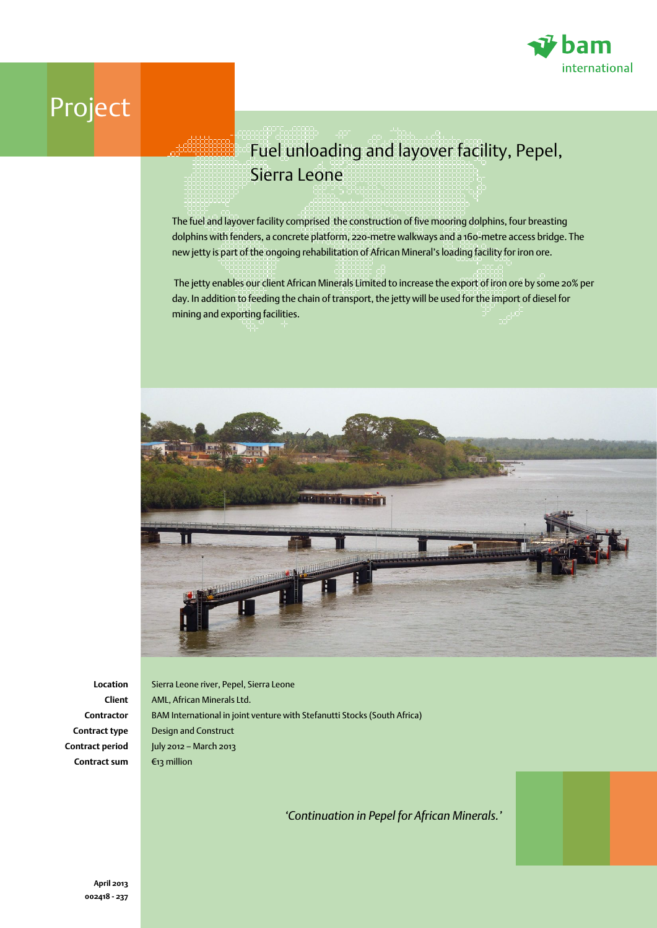

## Project

## Fuel unloading and layover facility, Pepel, Sierra Leone

The fuel and layover facility comprised the construction of five mooring dolphins, four breasting dolphins with fenders, a concrete platform, 220-metre walkways and a 160-metre access bridge. The new jetty is part of the ongoing rehabilitation of African Mineral's loading facility for iron ore.

 The jetty enables our client African Minerals Limited to increase the export of iron ore by some 20% per day. In addition to feeding the chain of transport, the jetty will be used for the import of diesel for mining and exporting facilities.



**Location Client Contractor Contract type Contract period Contract sum**

Sierra Leone river, Pepel, Sierra Leone AML, African Minerals Ltd. BAM International in joint venture with Stefanutti Stocks (South Africa) Design and Construct July 2012 – March 2013 €13 million

*'Continuation in Pepel for African Minerals.'*